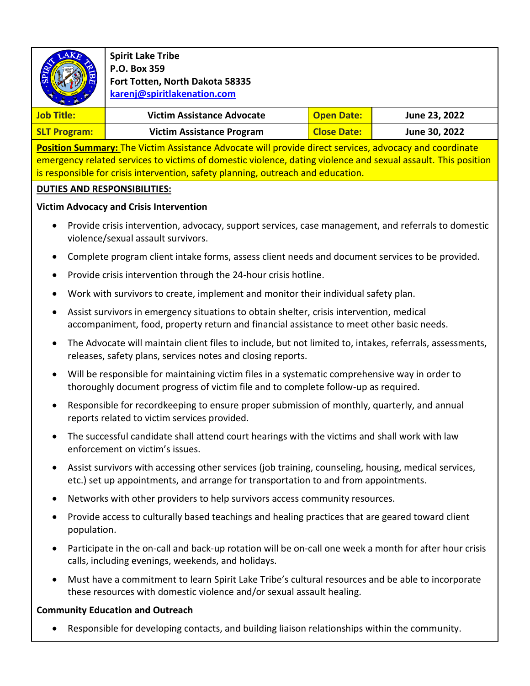

**Spirit Lake Tribe P.O. Box 359 Fort Totten, North Dakota 58335 [karenj@spiritlakenation.com](mailto:karenj@spiritlakenation.com)**

| Job Title:          | <b>Victim Assistance Advocate</b> | <b>Open Date:</b>  | June 23, 2022 |
|---------------------|-----------------------------------|--------------------|---------------|
| <b>SLT Program:</b> | <b>Victim Assistance Program</b>  | <b>Close Date:</b> | June 30, 2022 |

**Position Summary:** The Victim Assistance Advocate will provide direct services, advocacy and coordinate emergency related services to victims of domestic violence, dating violence and sexual assault. This position is responsible for crisis intervention, safety planning, outreach and education.

## **DUTIES AND RESPONSIBILITIES:**

## **Victim Advocacy and Crisis Intervention**

- Provide crisis intervention, advocacy, support services, case management, and referrals to domestic violence/sexual assault survivors.
- Complete program client intake forms, assess client needs and document services to be provided.
- Provide crisis intervention through the 24-hour crisis hotline.
- Work with survivors to create, implement and monitor their individual safety plan.
- Assist survivors in emergency situations to obtain shelter, crisis intervention, medical accompaniment, food, property return and financial assistance to meet other basic needs.
- The Advocate will maintain client files to include, but not limited to, intakes, referrals, assessments, releases, safety plans, services notes and closing reports.
- Will be responsible for maintaining victim files in a systematic comprehensive way in order to thoroughly document progress of victim file and to complete follow-up as required.
- Responsible for recordkeeping to ensure proper submission of monthly, quarterly, and annual reports related to victim services provided.
- The successful candidate shall attend court hearings with the victims and shall work with law enforcement on victim's issues.
- Assist survivors with accessing other services (job training, counseling, housing, medical services, etc.) set up appointments, and arrange for transportation to and from appointments.
- Networks with other providers to help survivors access community resources.
- Provide access to culturally based teachings and healing practices that are geared toward client population.
- Participate in the on-call and back-up rotation will be on-call one week a month for after hour crisis calls, including evenings, weekends, and holidays.
- Must have a commitment to learn Spirit Lake Tribe's cultural resources and be able to incorporate these resources with domestic violence and/or sexual assault healing.

## **Community Education and Outreach**

• Responsible for developing contacts, and building liaison relationships within the community.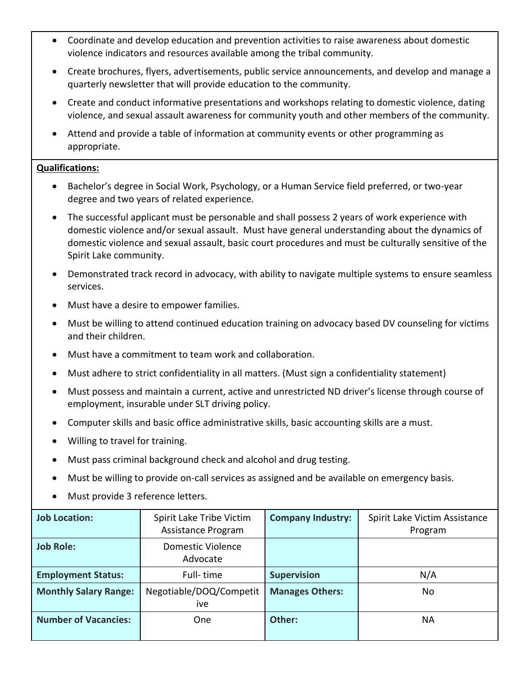- Coordinate and develop education and prevention activities to raise awareness about domestic violence indicators and resources available among the tribal community.
- Create brochures, flyers, advertisements, public service announcements, and develop and manage a quarterly newsletter that will provide education to the community.
- Create and conduct informative presentations and workshops relating to domestic violence, dating violence, and sexual assault awareness for community youth and other members of the community.
- Attend and provide a table of information at community events or other programming as appropriate.

## **Qualifications:**

- Bachelor's degree in Social Work, Psychology, or a Human Service field preferred, or two-year degree and two years of related experience.
- The successful applicant must be personable and shall possess 2 years of work experience with domestic violence and/or sexual assault. Must have general understanding about the dynamics of domestic violence and sexual assault, basic court procedures and must be culturally sensitive of the Spirit Lake community.
- Demonstrated track record in advocacy, with ability to navigate multiple systems to ensure seamless services.
- Must have a desire to empower families.
- Must be willing to attend continued education training on advocacy based DV counseling for victims and their children.
- Must have a commitment to team work and collaboration.
- Must adhere to strict confidentiality in all matters. (Must sign a confidentiality statement)
- Must possess and maintain a current, active and unrestricted ND driver's license through course of employment, insurable under SLT driving policy.
- Computer skills and basic office administrative skills, basic accounting skills are a must.
- Willing to travel for training.
- Must pass criminal background check and alcohol and drug testing.
- Must be willing to provide on-call services as assigned and be available on emergency basis.
- Must provide 3 reference letters.

| <b>Job Location:</b>         | Spirit Lake Tribe Victim<br>Assistance Program | <b>Company Industry:</b> | Spirit Lake Victim Assistance<br>Program |
|------------------------------|------------------------------------------------|--------------------------|------------------------------------------|
| <b>Job Role:</b>             | Domestic Violence<br>Advocate                  |                          |                                          |
| <b>Employment Status:</b>    | Full-time                                      | <b>Supervision</b>       | N/A                                      |
| <b>Monthly Salary Range:</b> | Negotiable/DOQ/Competit<br>ive                 | <b>Manages Others:</b>   | No                                       |
| <b>Number of Vacancies:</b>  | One                                            | Other:                   | NА                                       |